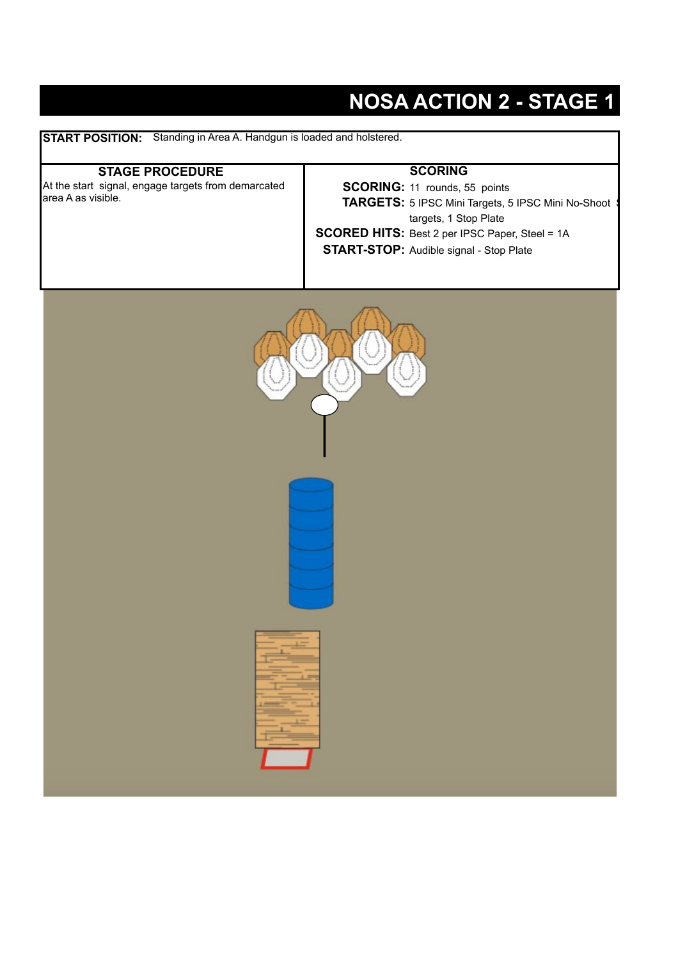### **NOSA ACTION 2 - STAGE 1**

**START POSITION:** Standing in Area A. Handgun is loaded and holstered.

#### **STAGE PROCEDURE**

At the start signal, engage targets from demarcated area A as visible.

#### **SCORING**

**SCORING:** 11 rounds, 55 points **TARGETS:** 5 IPSC Mini Targets, 5 IPSC Mini No-Shoot \$ targets, 1 Stop Plate

**SCORED HITS:** Best 2 per IPSC Paper, Steel = 1A

**START-STOP:** Audible signal - Stop Plate

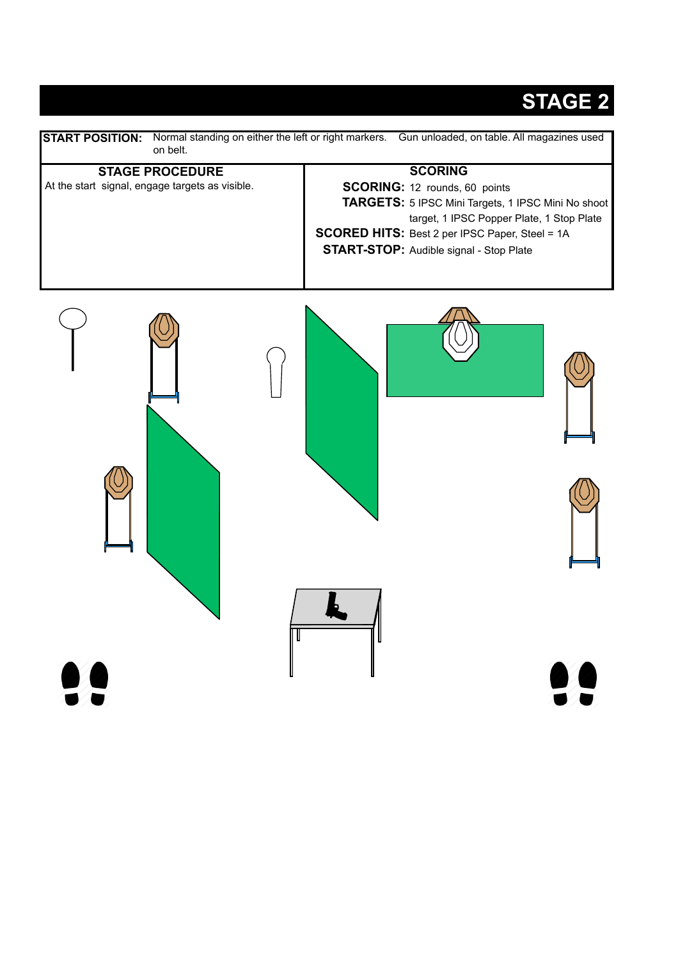

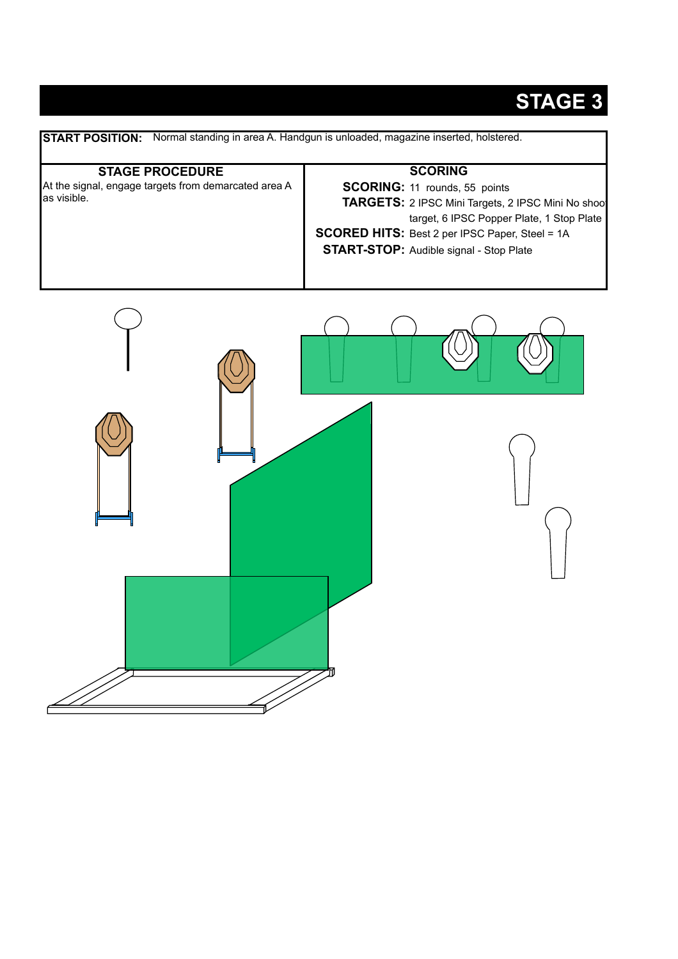**START POSITION:** Normal standing in area A. Handgun is unloaded, magazine inserted, holstered. **STAGE PROCEDURE SCORING:** 11 rounds, 55 points **TARGETS:** 2 IPSC Mini Targets, 2 IPSC Mini No shoot target, 6 IPSC Popper Plate, 1 Stop Plate **SCORED HITS:** Best 2 per IPSC Paper, Steel = 1A **START-STOP:** Audible signal - Stop Plate**SCORING** At the signal, engage targets from demarcated area A as visible.

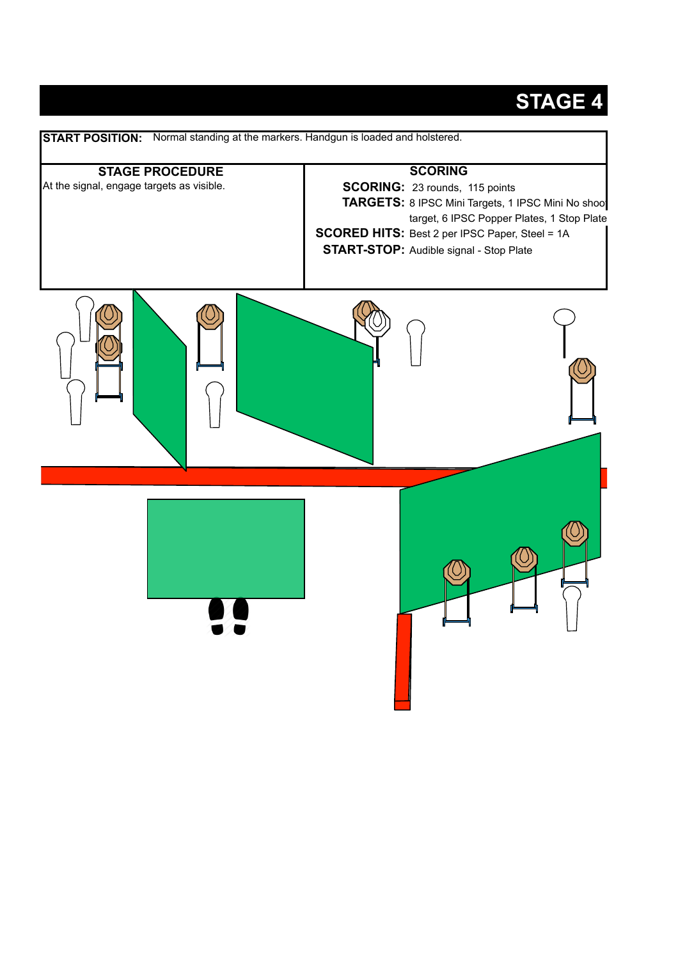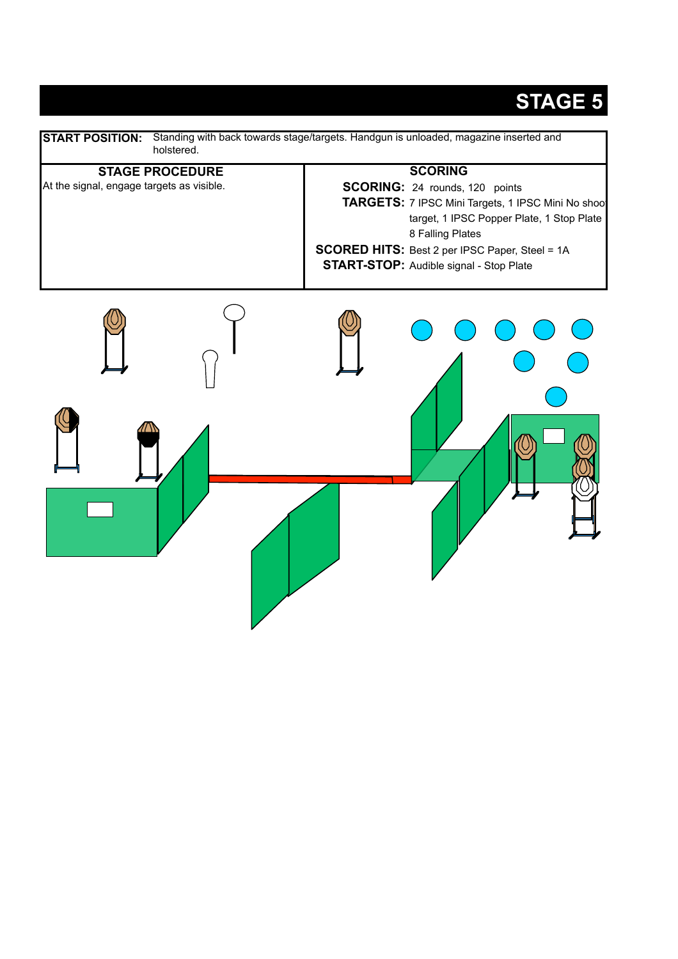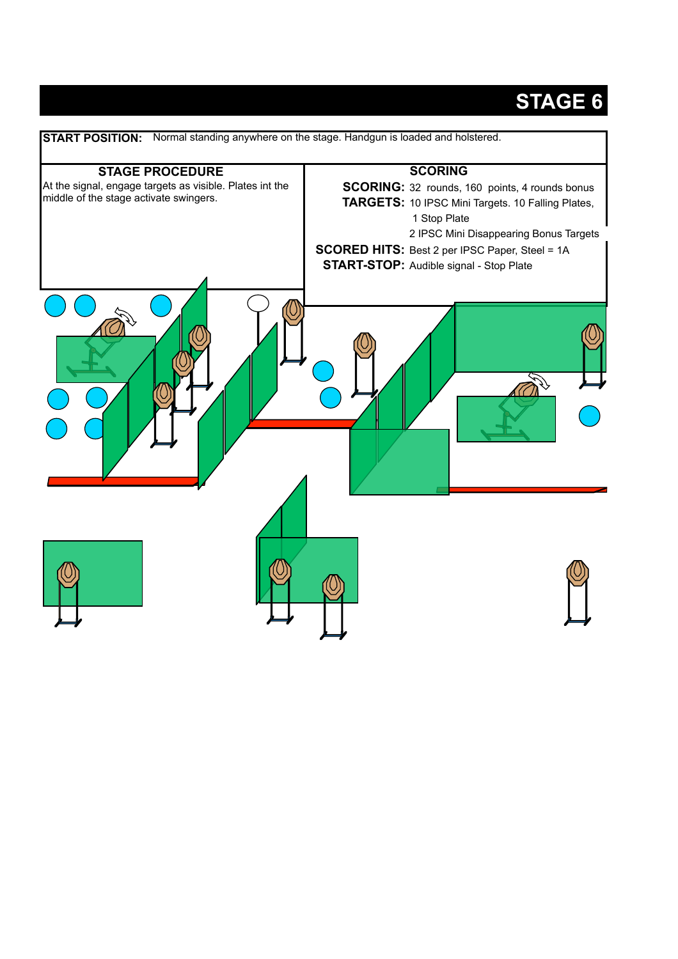